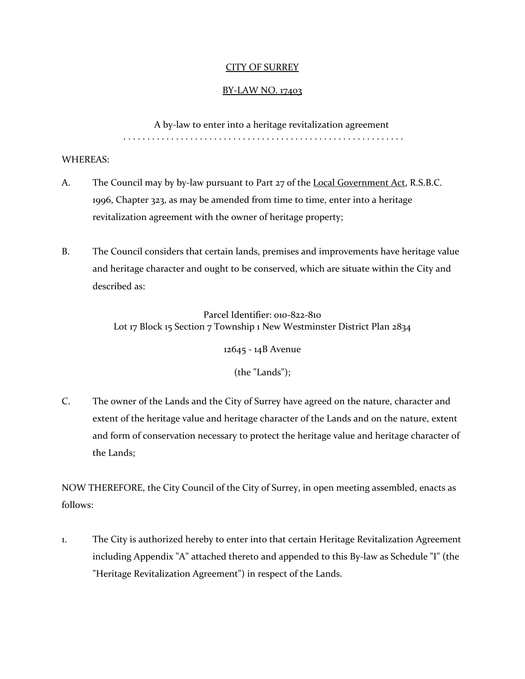## CITY OF SURREY

## BY-LAW NO. 17403

A by-law to enter into a heritage revitalization agreement . . . . . . . . . . . . . . . . . . . . . . . . . . . . . . . . . . . . . . . . . . . . . . . . . . . . . . . . . . .

### WHEREAS:

- A. The Council may by by-law pursuant to Part 27 of the Local Government Act, R.S.B.C. 1996, Chapter 323, as may be amended from time to time, enter into a heritage revitalization agreement with the owner of heritage property;
- B. The Council considers that certain lands, premises and improvements have heritage value and heritage character and ought to be conserved, which are situate within the City and described as:

Parcel Identifier: 010-822-810 Lot 17 Block 15 Section 7 Township 1 New Westminster District Plan 2834

12645 - 14B Avenue

(the "Lands");

C. The owner of the Lands and the City of Surrey have agreed on the nature, character and extent of the heritage value and heritage character of the Lands and on the nature, extent and form of conservation necessary to protect the heritage value and heritage character of the Lands;

NOW THEREFORE, the City Council of the City of Surrey, in open meeting assembled, enacts as follows:

1. The City is authorized hereby to enter into that certain Heritage Revitalization Agreement including Appendix "A" attached thereto and appended to this By-law as Schedule "I" (the "Heritage Revitalization Agreement") in respect of the Lands.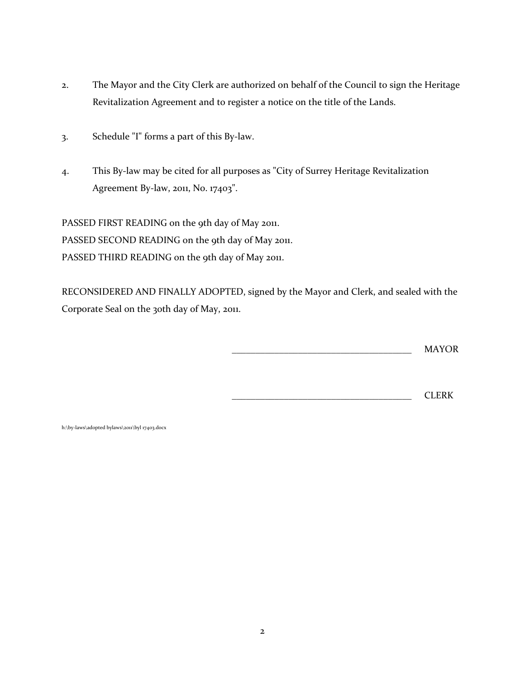- 2. The Mayor and the City Clerk are authorized on behalf of the Council to sign the Heritage Revitalization Agreement and to register a notice on the title of the Lands.
- 3. Schedule "I" forms a part of this By-law.
- 4. This By-law may be cited for all purposes as "City of Surrey Heritage Revitalization Agreement By-law, 2011, No. 17403".

PASSED FIRST READING on the 9th day of May 2011. PASSED SECOND READING on the 9th day of May 2011. PASSED THIRD READING on the 9th day of May 2011.

RECONSIDERED AND FINALLY ADOPTED, signed by the Mayor and Clerk, and sealed with the Corporate Seal on the 30th day of May, 2011.

\_\_\_\_\_\_\_\_\_\_\_\_\_\_\_\_\_\_\_\_\_\_\_\_\_\_\_\_\_\_\_\_\_\_\_\_\_\_ MAYOR

\_\_\_\_\_\_\_\_\_\_\_\_\_\_\_\_\_\_\_\_\_\_\_\_\_\_\_\_\_\_\_\_\_\_\_\_\_\_ CLERK

h:\by-laws\adopted bylaws\2011\byl 17403.docx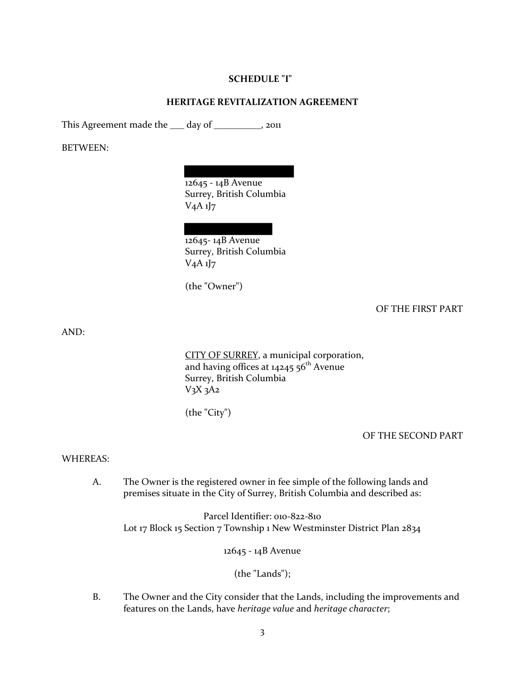### **SCHEDULE "I"**

### **HERITAGE REVITALIZATION AGREEMENT**

This Agreement made the \_\_\_ day of \_\_\_\_\_\_\_\_\_, 2011

BETWEEN:

12645 - 14B Avenue Surrey, British Columbia  $V_4A_1J_7$ 

12645-14B Avenue Surrey, British Columbia

 $V_4A_1J_7$ 

(the "Owner")

OF THE FIRST PART

AND:

CITY OF SURREY, a municipal corporation, and having offices at  $14245.56^{\text{th}}$  Avenue Surrey, British Columbia  $V_3X_3A_2$ 

(the "City")

OF THE SECOND PART

#### WHEREAS:

A. The Owner is the registered owner in fee simple of the following lands and premises situate in the City of Surrey, British Columbia and described as:

Parcel Identifier: 010-822-810 Lot 17 Block 15 Section 7 Township 1 New Westminster District Plan 2834

12645 - 14B Avenue

(the "Lands");

B. The Owner and the City consider that the Lands, including the improvements and features on the Lands, have *heritage value* and *heritage character*;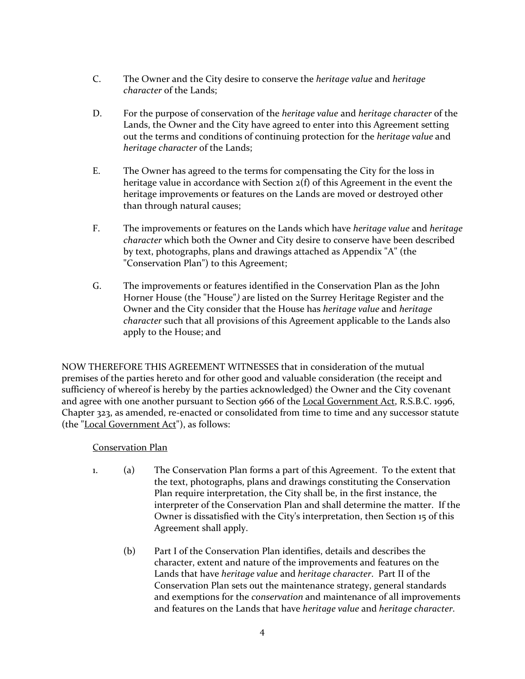- C. The Owner and the City desire to conserve the *heritage value* and *heritage character* of the Lands;
- D. For the purpose of conservation of the *heritage value* and *heritage character* of the Lands, the Owner and the City have agreed to enter into this Agreement setting out the terms and conditions of continuing protection for the *heritage value* and *heritage character* of the Lands;
- E. The Owner has agreed to the terms for compensating the City for the loss in heritage value in accordance with Section 2(f) of this Agreement in the event the heritage improvements or features on the Lands are moved or destroyed other than through natural causes;
- F. The improvements or features on the Lands which have *heritage value* and *heritage character* which both the Owner and City desire to conserve have been described by text, photographs, plans and drawings attached as Appendix "A" (the "Conservation Plan") to this Agreement;
- G. The improvements or features identified in the Conservation Plan as the John Horner House (the "House"*)* are listed on the Surrey Heritage Register and the Owner and the City consider that the House has *heritage value* and *heritage character* such that all provisions of this Agreement applicable to the Lands also apply to the House; and

NOW THEREFORE THIS AGREEMENT WITNESSES that in consideration of the mutual premises of the parties hereto and for other good and valuable consideration (the receipt and sufficiency of whereof is hereby by the parties acknowledged) the Owner and the City covenant and agree with one another pursuant to Section 966 of the Local Government Act, R.S.B.C. 1996, Chapter 323, as amended, re-enacted or consolidated from time to time and any successor statute (the "Local Government Act"), as follows:

# Conservation Plan

- 1. (a) The Conservation Plan forms a part of this Agreement. To the extent that the text, photographs, plans and drawings constituting the Conservation Plan require interpretation, the City shall be, in the first instance, the interpreter of the Conservation Plan and shall determine the matter. If the Owner is dissatisfied with the City's interpretation, then Section 15 of this Agreement shall apply.
	- (b) Part I of the Conservation Plan identifies, details and describes the character, extent and nature of the improvements and features on the Lands that have *heritage value* and *heritage character*. Part II of the Conservation Plan sets out the maintenance strategy, general standards and exemptions for the *conservation* and maintenance of all improvements and features on the Lands that have *heritage value* and *heritage character*.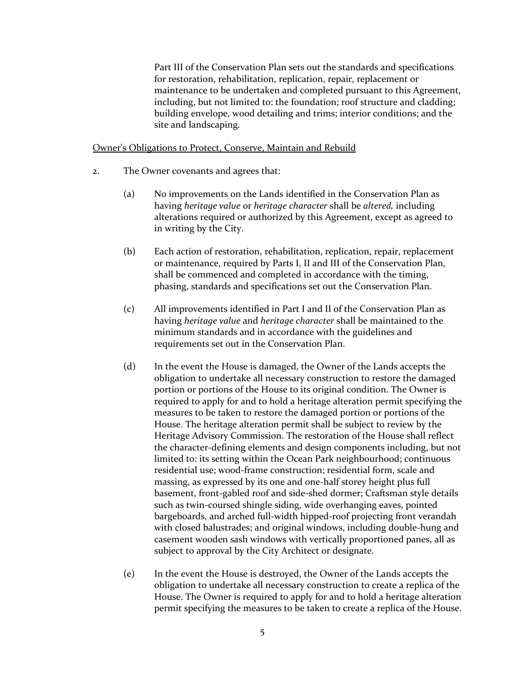Part III of the Conservation Plan sets out the standards and specifications for restoration, rehabilitation, replication, repair, replacement or maintenance to be undertaken and completed pursuant to this Agreement, including, but not limited to: the foundation; roof structure and cladding; building envelope, wood detailing and trims; interior conditions; and the site and landscaping.

### Owner's Obligations to Protect, Conserve, Maintain and Rebuild

- 2. The Owner covenants and agrees that:
	- (a) No improvements on the Lands identified in the Conservation Plan as having *heritage value* or *heritage character* shall be *altered,* including alterations required or authorized by this Agreement, except as agreed to in writing by the City.
	- (b) Each action of restoration, rehabilitation, replication, repair, replacement or maintenance, required by Parts I, II and III of the Conservation Plan, shall be commenced and completed in accordance with the timing, phasing, standards and specifications set out the Conservation Plan.
	- (c) All improvements identified in Part I and II of the Conservation Plan as having *heritage value* and *heritage character* shall be maintained to the minimum standards and in accordance with the guidelines and requirements set out in the Conservation Plan.
	- (d) In the event the House is damaged, the Owner of the Lands accepts the obligation to undertake all necessary construction to restore the damaged portion or portions of the House to its original condition. The Owner is required to apply for and to hold a heritage alteration permit specifying the measures to be taken to restore the damaged portion or portions of the House. The heritage alteration permit shall be subject to review by the Heritage Advisory Commission. The restoration of the House shall reflect the character-defining elements and design components including, but not limited to: its setting within the Ocean Park neighbourhood; continuous residential use; wood-frame construction; residential form, scale and massing, as expressed by its one and one-half storey height plus full basement, front-gabled roof and side-shed dormer; Craftsman style details such as twin-coursed shingle siding, wide overhanging eaves, pointed bargeboards, and arched full-width hipped-roof projecting front verandah with closed balustrades; and original windows, including double-hung and casement wooden sash windows with vertically proportioned panes, all as subject to approval by the City Architect or designate.
	- (e) In the event the House is destroyed, the Owner of the Lands accepts the obligation to undertake all necessary construction to create a replica of the House. The Owner is required to apply for and to hold a heritage alteration permit specifying the measures to be taken to create a replica of the House.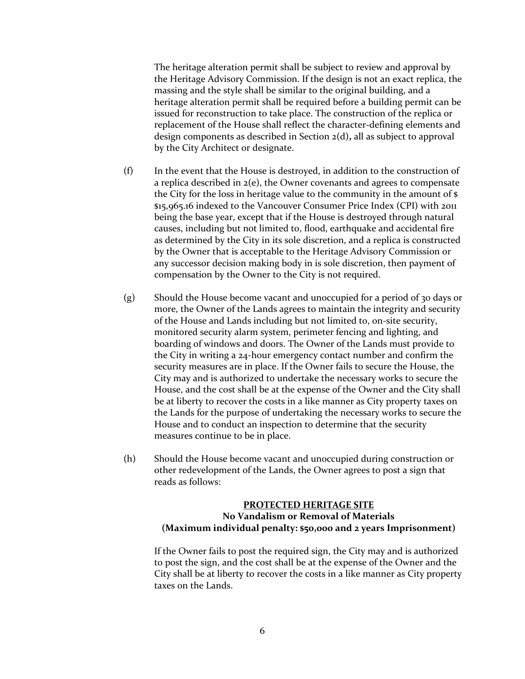The heritage alteration permit shall be subject to review and approval by the Heritage Advisory Commission. If the design is not an exact replica, the massing and the style shall be similar to the original building, and a heritage alteration permit shall be required before a building permit can be issued for reconstruction to take place. The construction of the replica or replacement of the House shall reflect the character-defining elements and design components as described in Section 2(d)**,** all as subject to approval by the City Architect or designate.

- (f) In the event that the House is destroyed, in addition to the construction of a replica described in 2(e), the Owner covenants and agrees to compensate the City for the loss in heritage value to the community in the amount of \$ \$15,965.16 indexed to the Vancouver Consumer Price Index (CPI) with 2011 being the base year, except that if the House is destroyed through natural causes, including but not limited to, flood, earthquake and accidental fire as determined by the City in its sole discretion, and a replica is constructed by the Owner that is acceptable to the Heritage Advisory Commission or any successor decision making body in is sole discretion, then payment of compensation by the Owner to the City is not required.
- (g) Should the House become vacant and unoccupied for a period of 30 days or more, the Owner of the Lands agrees to maintain the integrity and security of the House and Lands including but not limited to, on-site security, monitored security alarm system, perimeter fencing and lighting, and boarding of windows and doors. The Owner of the Lands must provide to the City in writing a 24-hour emergency contact number and confirm the security measures are in place. If the Owner fails to secure the House, the City may and is authorized to undertake the necessary works to secure the House, and the cost shall be at the expense of the Owner and the City shall be at liberty to recover the costs in a like manner as City property taxes on the Lands for the purpose of undertaking the necessary works to secure the House and to conduct an inspection to determine that the security measures continue to be in place.
- (h) Should the House become vacant and unoccupied during construction or other redevelopment of the Lands, the Owner agrees to post a sign that reads as follows:

## **PROTECTED HERITAGE SITE No Vandalism or Removal of Materials (Maximum individual penalty: \$50,000 and 2 years Imprisonment)**

If the Owner fails to post the required sign, the City may and is authorized to post the sign, and the cost shall be at the expense of the Owner and the City shall be at liberty to recover the costs in a like manner as City property taxes on the Lands.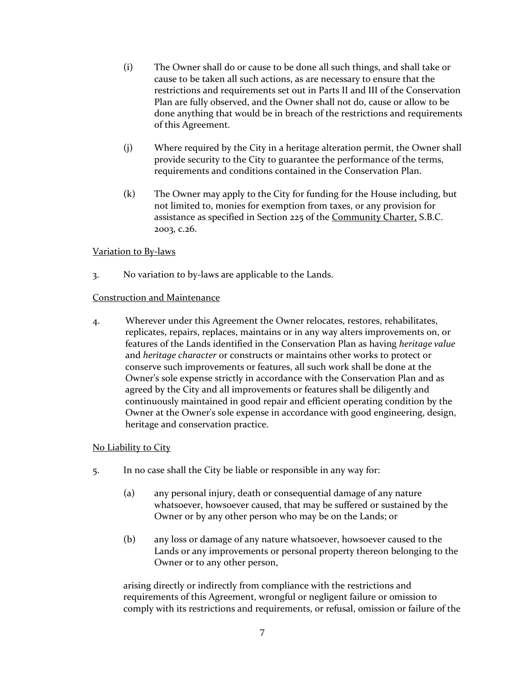- (i) The Owner shall do or cause to be done all such things, and shall take or cause to be taken all such actions, as are necessary to ensure that the restrictions and requirements set out in Parts II and III of the Conservation Plan are fully observed, and the Owner shall not do, cause or allow to be done anything that would be in breach of the restrictions and requirements of this Agreement.
- (j) Where required by the City in a heritage alteration permit, the Owner shall provide security to the City to guarantee the performance of the terms, requirements and conditions contained in the Conservation Plan.
- (k) The Owner may apply to the City for funding for the House including, but not limited to, monies for exemption from taxes, or any provision for assistance as specified in Section 225 of the Community Charter, S.B.C. 2003, c.26.

## Variation to By-laws

3. No variation to by-laws are applicable to the Lands.

### Construction and Maintenance

4. Wherever under this Agreement the Owner relocates, restores, rehabilitates, replicates, repairs, replaces, maintains or in any way alters improvements on, or features of the Lands identified in the Conservation Plan as having *heritage value* and *heritage character* or constructs or maintains other works to protect or conserve such improvements or features, all such work shall be done at the Owner's sole expense strictly in accordance with the Conservation Plan and as agreed by the City and all improvements or features shall be diligently and continuously maintained in good repair and efficient operating condition by the Owner at the Owner's sole expense in accordance with good engineering, design, heritage and conservation practice.

## No Liability to City

- 5. In no case shall the City be liable or responsible in any way for:
	- (a) any personal injury, death or consequential damage of any nature whatsoever, howsoever caused, that may be suffered or sustained by the Owner or by any other person who may be on the Lands; or
	- (b) any loss or damage of any nature whatsoever, howsoever caused to the Lands or any improvements or personal property thereon belonging to the Owner or to any other person,

arising directly or indirectly from compliance with the restrictions and requirements of this Agreement, wrongful or negligent failure or omission to comply with its restrictions and requirements, or refusal, omission or failure of the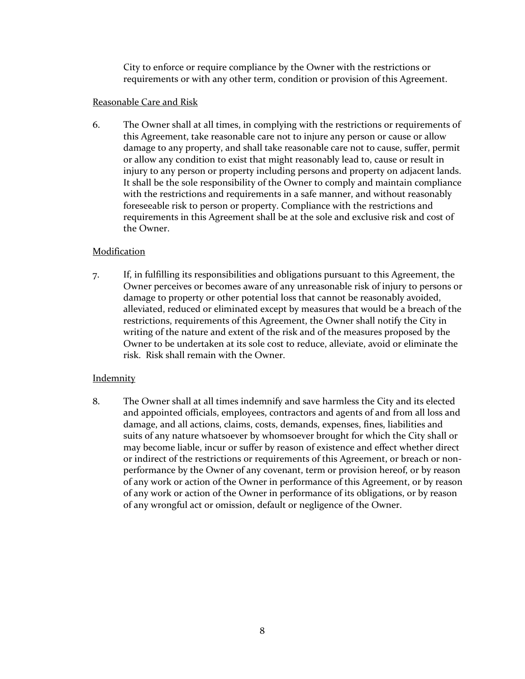City to enforce or require compliance by the Owner with the restrictions or requirements or with any other term, condition or provision of this Agreement.

## Reasonable Care and Risk

6. The Owner shall at all times, in complying with the restrictions or requirements of this Agreement, take reasonable care not to injure any person or cause or allow damage to any property, and shall take reasonable care not to cause, suffer, permit or allow any condition to exist that might reasonably lead to, cause or result in injury to any person or property including persons and property on adjacent lands. It shall be the sole responsibility of the Owner to comply and maintain compliance with the restrictions and requirements in a safe manner, and without reasonably foreseeable risk to person or property. Compliance with the restrictions and requirements in this Agreement shall be at the sole and exclusive risk and cost of the Owner.

## Modification

7. If, in fulfilling its responsibilities and obligations pursuant to this Agreement, the Owner perceives or becomes aware of any unreasonable risk of injury to persons or damage to property or other potential loss that cannot be reasonably avoided, alleviated, reduced or eliminated except by measures that would be a breach of the restrictions, requirements of this Agreement, the Owner shall notify the City in writing of the nature and extent of the risk and of the measures proposed by the Owner to be undertaken at its sole cost to reduce, alleviate, avoid or eliminate the risk. Risk shall remain with the Owner.

## **Indemnity**

8. The Owner shall at all times indemnify and save harmless the City and its elected and appointed officials, employees, contractors and agents of and from all loss and damage, and all actions, claims, costs, demands, expenses, fines, liabilities and suits of any nature whatsoever by whomsoever brought for which the City shall or may become liable, incur or suffer by reason of existence and effect whether direct or indirect of the restrictions or requirements of this Agreement, or breach or nonperformance by the Owner of any covenant, term or provision hereof, or by reason of any work or action of the Owner in performance of this Agreement, or by reason of any work or action of the Owner in performance of its obligations, or by reason of any wrongful act or omission, default or negligence of the Owner.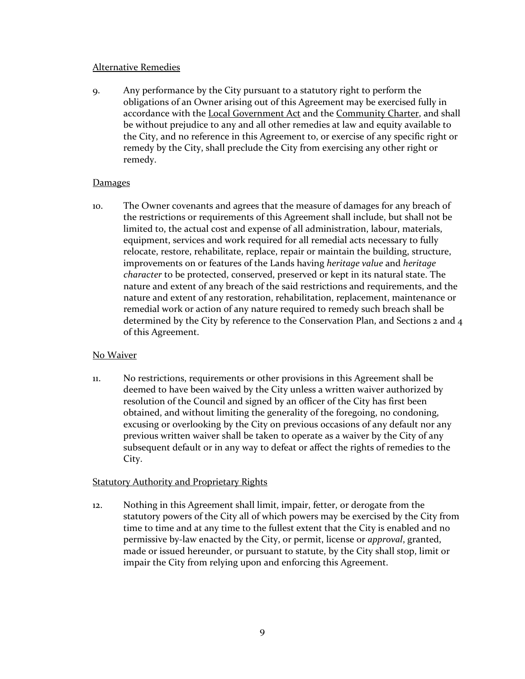## Alternative Remedies

9. Any performance by the City pursuant to a statutory right to perform the obligations of an Owner arising out of this Agreement may be exercised fully in accordance with the Local Government Act and the Community Charter, and shall be without prejudice to any and all other remedies at law and equity available to the City, and no reference in this Agreement to, or exercise of any specific right or remedy by the City, shall preclude the City from exercising any other right or remedy.

## Damages

10. The Owner covenants and agrees that the measure of damages for any breach of the restrictions or requirements of this Agreement shall include, but shall not be limited to, the actual cost and expense of all administration, labour, materials, equipment, services and work required for all remedial acts necessary to fully relocate, restore, rehabilitate, replace, repair or maintain the building, structure, improvements on or features of the Lands having *heritage value* and *heritage character* to be protected, conserved, preserved or kept in its natural state. The nature and extent of any breach of the said restrictions and requirements, and the nature and extent of any restoration, rehabilitation, replacement, maintenance or remedial work or action of any nature required to remedy such breach shall be determined by the City by reference to the Conservation Plan, and Sections 2 and 4 of this Agreement.

## No Waiver

11. No restrictions, requirements or other provisions in this Agreement shall be deemed to have been waived by the City unless a written waiver authorized by resolution of the Council and signed by an officer of the City has first been obtained, and without limiting the generality of the foregoing, no condoning, excusing or overlooking by the City on previous occasions of any default nor any previous written waiver shall be taken to operate as a waiver by the City of any subsequent default or in any way to defeat or affect the rights of remedies to the City.

### Statutory Authority and Proprietary Rights

12. Nothing in this Agreement shall limit, impair, fetter, or derogate from the statutory powers of the City all of which powers may be exercised by the City from time to time and at any time to the fullest extent that the City is enabled and no permissive by-law enacted by the City, or permit, license or *approval*, granted, made or issued hereunder, or pursuant to statute, by the City shall stop, limit or impair the City from relying upon and enforcing this Agreement.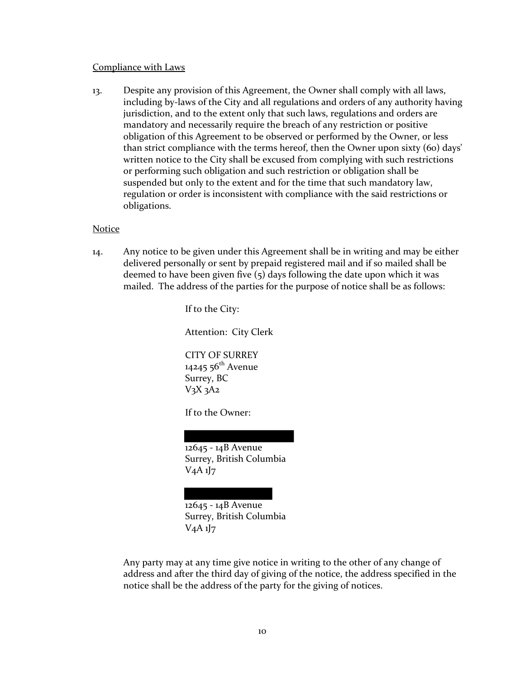#### Compliance with Laws

13. Despite any provision of this Agreement, the Owner shall comply with all laws, including by-laws of the City and all regulations and orders of any authority having jurisdiction, and to the extent only that such laws, regulations and orders are mandatory and necessarily require the breach of any restriction or positive obligation of this Agreement to be observed or performed by the Owner, or less than strict compliance with the terms hereof, then the Owner upon sixty (60) days' written notice to the City shall be excused from complying with such restrictions or performing such obligation and such restriction or obligation shall be suspended but only to the extent and for the time that such mandatory law, regulation or order is inconsistent with compliance with the said restrictions or obligations.

#### **Notice**

14. Any notice to be given under this Agreement shall be in writing and may be either delivered personally or sent by prepaid registered mail and if so mailed shall be deemed to have been given five (5) days following the date upon which it was mailed. The address of the parties for the purpose of notice shall be as follows:

> If to the City: Attention: City Clerk CITY OF SURREY 14245  $56^{th}$  Avenue Surrey, BC  $V_3X_3A_2$ If to the Owner: 12645 - 14B Avenue

Surrey, British Columbia V4A 1J7

12645 - 14B Avenue Surrey, British Columbia V4A 1J7

Any party may at any time give notice in writing to the other of any change of address and after the third day of giving of the notice, the address specified in the notice shall be the address of the party for the giving of notices.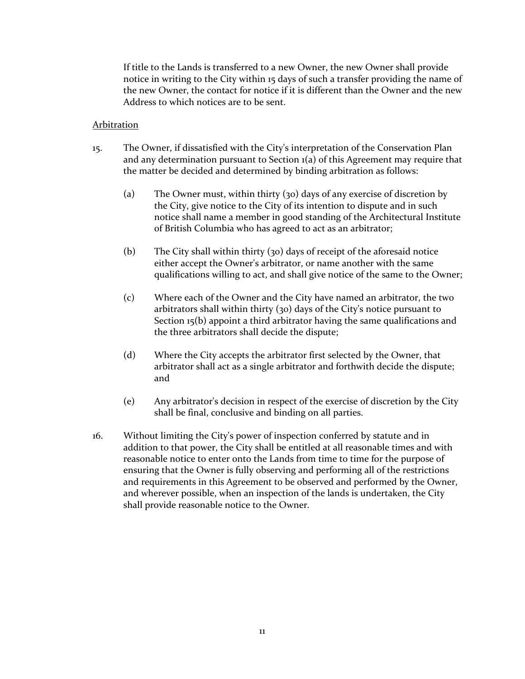If title to the Lands is transferred to a new Owner, the new Owner shall provide notice in writing to the City within 15 days of such a transfer providing the name of the new Owner, the contact for notice if it is different than the Owner and the new Address to which notices are to be sent.

### Arbitration

- 15. The Owner, if dissatisfied with the City's interpretation of the Conservation Plan and any determination pursuant to Section 1(a) of this Agreement may require that the matter be decided and determined by binding arbitration as follows:
	- (a) The Owner must, within thirty (30) days of any exercise of discretion by the City, give notice to the City of its intention to dispute and in such notice shall name a member in good standing of the Architectural Institute of British Columbia who has agreed to act as an arbitrator;
	- (b) The City shall within thirty (30) days of receipt of the aforesaid notice either accept the Owner's arbitrator, or name another with the same qualifications willing to act, and shall give notice of the same to the Owner;
	- (c) Where each of the Owner and the City have named an arbitrator, the two arbitrators shall within thirty (30) days of the City's notice pursuant to Section 15(b) appoint a third arbitrator having the same qualifications and the three arbitrators shall decide the dispute;
	- (d) Where the City accepts the arbitrator first selected by the Owner, that arbitrator shall act as a single arbitrator and forthwith decide the dispute; and
	- (e) Any arbitrator's decision in respect of the exercise of discretion by the City shall be final, conclusive and binding on all parties.
- 16. Without limiting the City's power of inspection conferred by statute and in addition to that power, the City shall be entitled at all reasonable times and with reasonable notice to enter onto the Lands from time to time for the purpose of ensuring that the Owner is fully observing and performing all of the restrictions and requirements in this Agreement to be observed and performed by the Owner, and wherever possible, when an inspection of the lands is undertaken, the City shall provide reasonable notice to the Owner.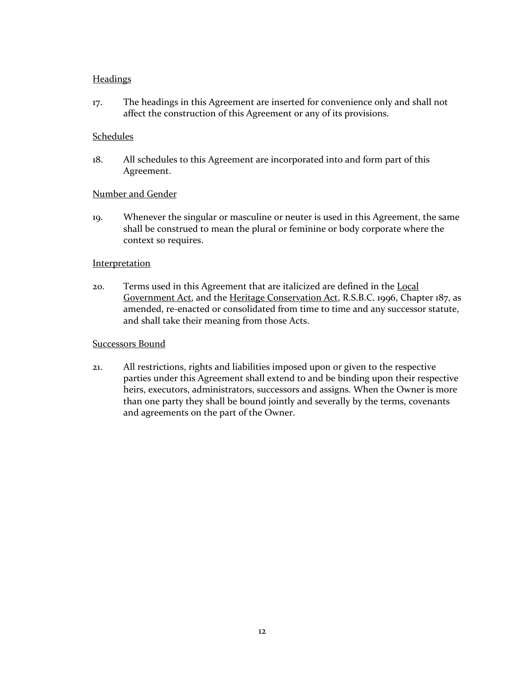## **Headings**

17. The headings in this Agreement are inserted for convenience only and shall not affect the construction of this Agreement or any of its provisions.

### Schedules

18. All schedules to this Agreement are incorporated into and form part of this Agreement.

### Number and Gender

19. Whenever the singular or masculine or neuter is used in this Agreement, the same shall be construed to mean the plural or feminine or body corporate where the context so requires.

### **Interpretation**

20. Terms used in this Agreement that are italicized are defined in the Local Government Act, and the Heritage Conservation Act, R.S.B.C. 1996, Chapter 187, as amended, re-enacted or consolidated from time to time and any successor statute, and shall take their meaning from those Acts.

### Successors Bound

21. All restrictions, rights and liabilities imposed upon or given to the respective parties under this Agreement shall extend to and be binding upon their respective heirs, executors, administrators, successors and assigns. When the Owner is more than one party they shall be bound jointly and severally by the terms, covenants and agreements on the part of the Owner.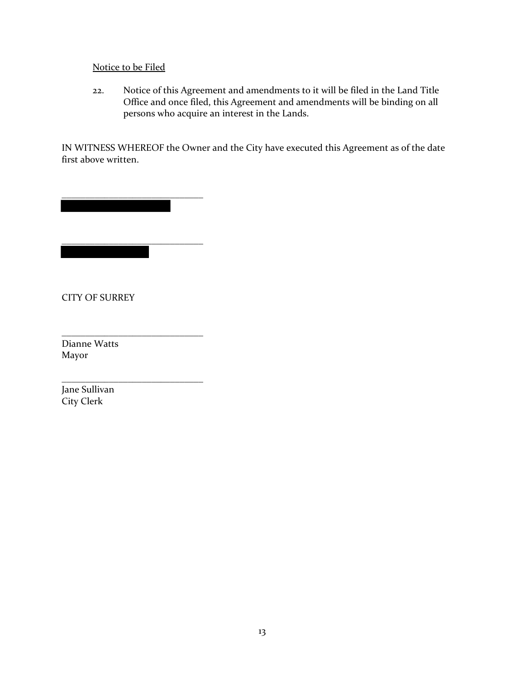# Notice to be Filed

\_\_\_\_\_\_\_\_\_\_\_\_\_\_\_\_\_\_\_\_\_\_\_\_\_\_\_\_\_\_

\_\_\_\_\_\_\_\_\_\_\_\_\_\_\_\_\_\_\_\_\_\_\_\_\_\_\_\_\_\_

\_\_\_\_\_\_\_\_\_\_\_\_\_\_\_\_\_\_\_\_\_\_\_\_\_\_\_\_\_\_

\_\_\_\_\_\_\_\_\_\_\_\_\_\_\_\_\_\_\_\_\_\_\_\_\_\_\_\_\_\_

22. Notice of this Agreement and amendments to it will be filed in the Land Title Office and once filed, this Agreement and amendments will be binding on all persons who acquire an interest in the Lands.

IN WITNESS WHEREOF the Owner and the City have executed this Agreement as of the date first above written.

CITY OF SURREY

Dianne Watts Mayor

Jane Sullivan City Clerk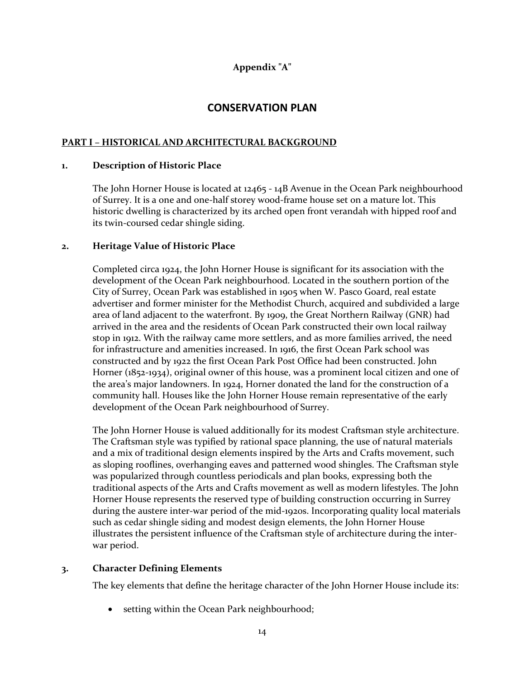# **Appendix "A"**

# **CONSERVATION PLAN**

## **PART I – HISTORICAL AND ARCHITECTURAL BACKGROUND**

### **1. Description of Historic Place**

The John Horner House is located at 12465 - 14B Avenue in the Ocean Park neighbourhood of Surrey. It is a one and one-half storey wood-frame house set on a mature lot. This historic dwelling is characterized by its arched open front verandah with hipped roof and its twin-coursed cedar shingle siding.

### **2. Heritage Value of Historic Place**

Completed circa 1924, the John Horner House is significant for its association with the development of the Ocean Park neighbourhood. Located in the southern portion of the City of Surrey, Ocean Park was established in 1905 when W. Pasco Goard, real estate advertiser and former minister for the Methodist Church, acquired and subdivided a large area of land adjacent to the waterfront. By 1909, the Great Northern Railway (GNR) had arrived in the area and the residents of Ocean Park constructed their own local railway stop in 1912. With the railway came more settlers, and as more families arrived, the need for infrastructure and amenities increased. In 1916, the first Ocean Park school was constructed and by 1922 the first Ocean Park Post Office had been constructed. John Horner (1852-1934), original owner of this house, was a prominent local citizen and one of the area's major landowners. In 1924, Horner donated the land for the construction of a community hall. Houses like the John Horner House remain representative of the early development of the Ocean Park neighbourhood of Surrey.

The John Horner House is valued additionally for its modest Craftsman style architecture. The Craftsman style was typified by rational space planning, the use of natural materials and a mix of traditional design elements inspired by the Arts and Crafts movement, such as sloping rooflines, overhanging eaves and patterned wood shingles. The Craftsman style was popularized through countless periodicals and plan books, expressing both the traditional aspects of the Arts and Crafts movement as well as modern lifestyles. The John Horner House represents the reserved type of building construction occurring in Surrey during the austere inter-war period of the mid-1920s. Incorporating quality local materials such as cedar shingle siding and modest design elements, the John Horner House illustrates the persistent influence of the Craftsman style of architecture during the interwar period.

### **3. Character Defining Elements**

The key elements that define the heritage character of the John Horner House include its:

• setting within the Ocean Park neighbourhood;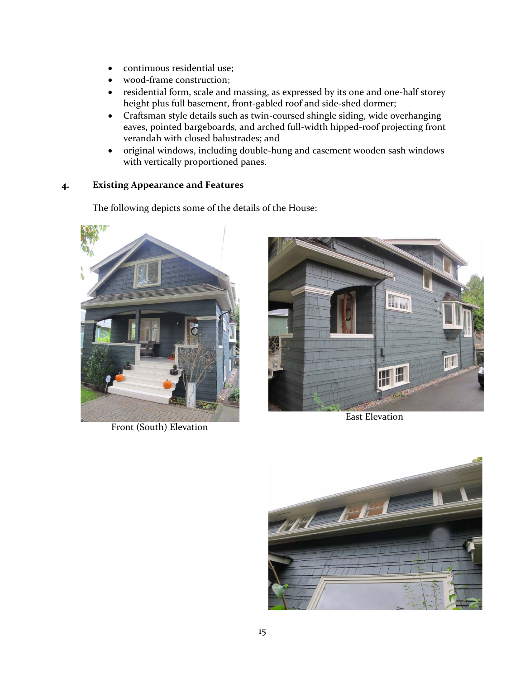- continuous residential use;
- wood-frame construction;
- residential form, scale and massing, as expressed by its one and one-half storey height plus full basement, front-gabled roof and side-shed dormer;
- Craftsman style details such as twin-coursed shingle siding, wide overhanging eaves, pointed bargeboards, and arched full-width hipped-roof projecting front verandah with closed balustrades; and
- original windows, including double-hung and casement wooden sash windows with vertically proportioned panes.

## **4. Existing Appearance and Features**

The following depicts some of the details of the House:



Front (South) Elevation



East Elevation

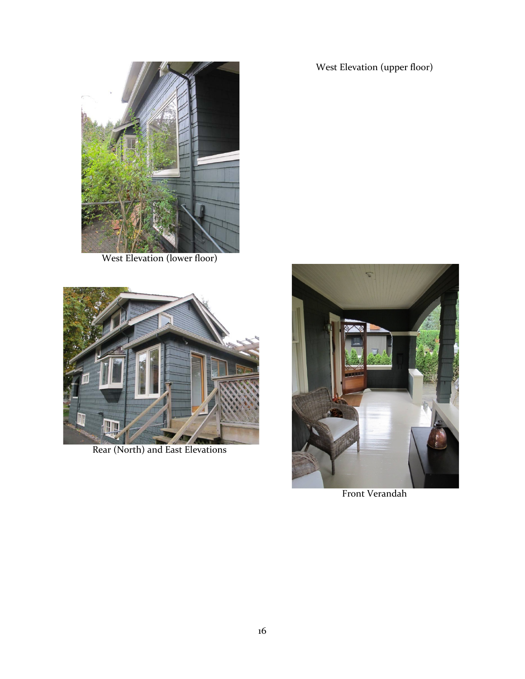West Elevation (upper floor)



West Elevation (lower floor)



Rear (North) and East Elevations



Front Verandah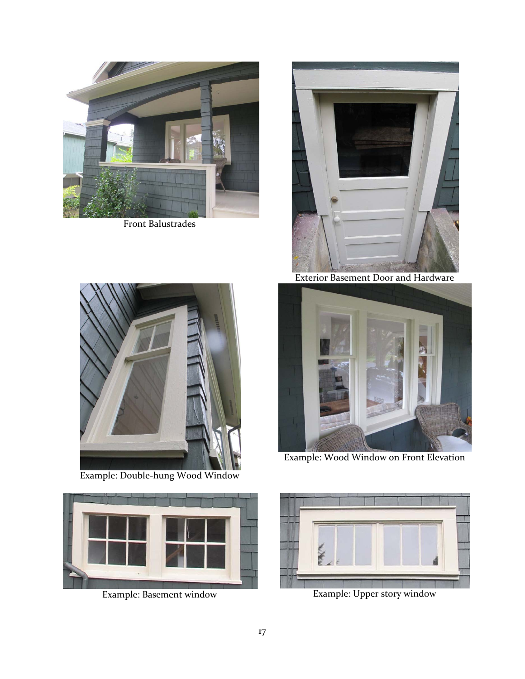

Front Balustrades



Example: Double-hung Wood Window





Exterior Basement Door and Hardware



Example: Wood Window on Front Elevation



Example: Basement window Example: Upper story window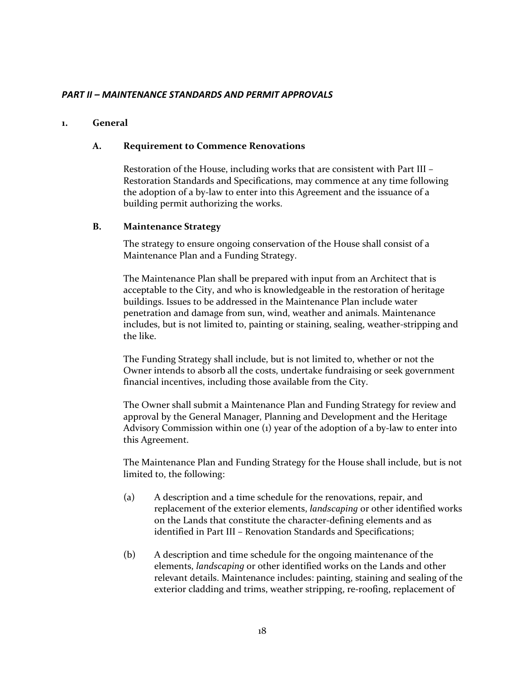## *PART II – MAINTENANCE STANDARDS AND PERMIT APPROVALS*

### **1. General**

### **A. Requirement to Commence Renovations**

Restoration of the House, including works that are consistent with Part III – Restoration Standards and Specifications, may commence at any time following the adoption of a by-law to enter into this Agreement and the issuance of a building permit authorizing the works.

### **B. Maintenance Strategy**

The strategy to ensure ongoing conservation of the House shall consist of a Maintenance Plan and a Funding Strategy.

The Maintenance Plan shall be prepared with input from an Architect that is acceptable to the City, and who is knowledgeable in the restoration of heritage buildings. Issues to be addressed in the Maintenance Plan include water penetration and damage from sun, wind, weather and animals. Maintenance includes, but is not limited to, painting or staining, sealing, weather-stripping and the like.

The Funding Strategy shall include, but is not limited to, whether or not the Owner intends to absorb all the costs, undertake fundraising or seek government financial incentives, including those available from the City.

The Owner shall submit a Maintenance Plan and Funding Strategy for review and approval by the General Manager, Planning and Development and the Heritage Advisory Commission within one (1) year of the adoption of a by-law to enter into this Agreement.

The Maintenance Plan and Funding Strategy for the House shall include, but is not limited to, the following:

- (a) A description and a time schedule for the renovations, repair, and replacement of the exterior elements, *landscaping* or other identified works on the Lands that constitute the character-defining elements and as identified in Part III – Renovation Standards and Specifications;
- (b) A description and time schedule for the ongoing maintenance of the elements, *landscaping* or other identified works on the Lands and other relevant details. Maintenance includes: painting, staining and sealing of the exterior cladding and trims, weather stripping, re-roofing, replacement of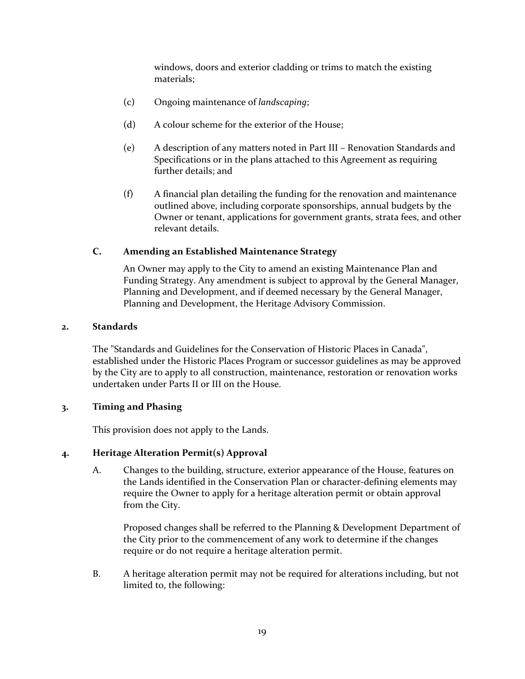windows, doors and exterior cladding or trims to match the existing materials;

- (c) Ongoing maintenance of *landscaping*;
- (d) A colour scheme for the exterior of the House;
- (e) A description of any matters noted in Part III Renovation Standards and Specifications or in the plans attached to this Agreement as requiring further details; and
- (f) A financial plan detailing the funding for the renovation and maintenance outlined above, including corporate sponsorships, annual budgets by the Owner or tenant, applications for government grants, strata fees, and other relevant details.

## **C. Amending an Established Maintenance Strategy**

An Owner may apply to the City to amend an existing Maintenance Plan and Funding Strategy. Any amendment is subject to approval by the General Manager, Planning and Development, and if deemed necessary by the General Manager, Planning and Development, the Heritage Advisory Commission.

## **2. Standards**

The "Standards and Guidelines for the Conservation of Historic Places in Canada", established under the Historic Places Program or successor guidelines as may be approved by the City are to apply to all construction, maintenance, restoration or renovation works undertaken under Parts II or III on the House.

## **3. Timing and Phasing**

This provision does not apply to the Lands.

## **4. Heritage Alteration Permit(s) Approval**

A. Changes to the building, structure, exterior appearance of the House, features on the Lands identified in the Conservation Plan or character-defining elements may require the Owner to apply for a heritage alteration permit or obtain approval from the City.

Proposed changes shall be referred to the Planning & Development Department of the City prior to the commencement of any work to determine if the changes require or do not require a heritage alteration permit.

B. A heritage alteration permit may not be required for alterations including, but not limited to, the following: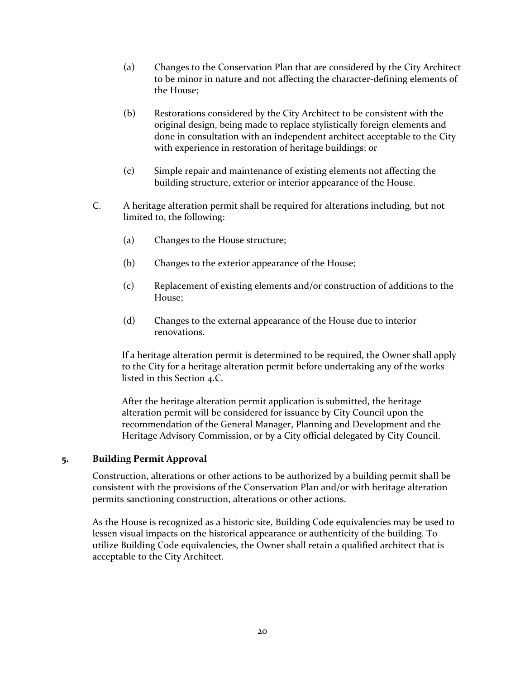- (a) Changes to the Conservation Plan that are considered by the City Architect to be minor in nature and not affecting the character-defining elements of the House;
- (b) Restorations considered by the City Architect to be consistent with the original design, being made to replace stylistically foreign elements and done in consultation with an independent architect acceptable to the City with experience in restoration of heritage buildings; or
- (c) Simple repair and maintenance of existing elements not affecting the building structure, exterior or interior appearance of the House.
- C. A heritage alteration permit shall be required for alterations including, but not limited to, the following:
	- (a) Changes to the House structure;
	- (b) Changes to the exterior appearance of the House;
	- (c) Replacement of existing elements and/or construction of additions to the House;
	- (d) Changes to the external appearance of the House due to interior renovations.

If a heritage alteration permit is determined to be required, the Owner shall apply to the City for a heritage alteration permit before undertaking any of the works listed in this Section 4.C.

After the heritage alteration permit application is submitted, the heritage alteration permit will be considered for issuance by City Council upon the recommendation of the General Manager, Planning and Development and the Heritage Advisory Commission, or by a City official delegated by City Council.

### **5. Building Permit Approval**

Construction, alterations or other actions to be authorized by a building permit shall be consistent with the provisions of the Conservation Plan and/or with heritage alteration permits sanctioning construction, alterations or other actions.

As the House is recognized as a historic site, Building Code equivalencies may be used to lessen visual impacts on the historical appearance or authenticity of the building. To utilize Building Code equivalencies, the Owner shall retain a qualified architect that is acceptable to the City Architect.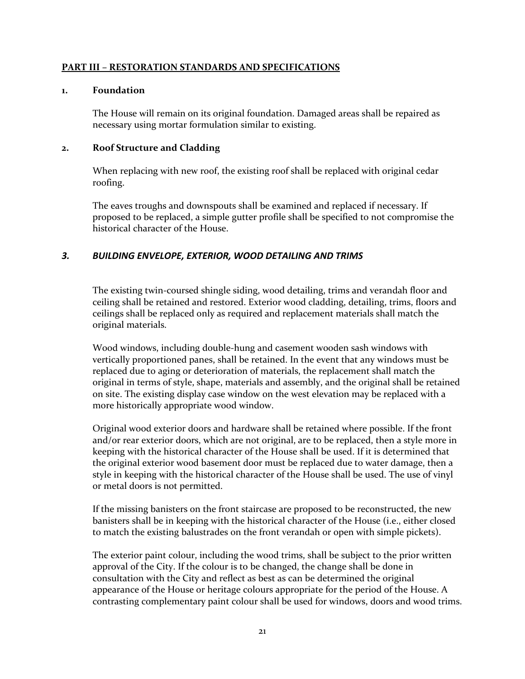### **PART III – RESTORATION STANDARDS AND SPECIFICATIONS**

### **1. Foundation**

The House will remain on its original foundation. Damaged areas shall be repaired as necessary using mortar formulation similar to existing.

## **2. Roof Structure and Cladding**

When replacing with new roof, the existing roof shall be replaced with original cedar roofing.

The eaves troughs and downspouts shall be examined and replaced if necessary. If proposed to be replaced, a simple gutter profile shall be specified to not compromise the historical character of the House.

## *3. BUILDING ENVELOPE, EXTERIOR, WOOD DETAILING AND TRIMS*

The existing twin-coursed shingle siding, wood detailing, trims and verandah floor and ceiling shall be retained and restored. Exterior wood cladding, detailing, trims, floors and ceilings shall be replaced only as required and replacement materials shall match the original materials.

Wood windows, including double-hung and casement wooden sash windows with vertically proportioned panes, shall be retained. In the event that any windows must be replaced due to aging or deterioration of materials, the replacement shall match the original in terms of style, shape, materials and assembly, and the original shall be retained on site. The existing display case window on the west elevation may be replaced with a more historically appropriate wood window.

Original wood exterior doors and hardware shall be retained where possible. If the front and/or rear exterior doors, which are not original, are to be replaced, then a style more in keeping with the historical character of the House shall be used. If it is determined that the original exterior wood basement door must be replaced due to water damage, then a style in keeping with the historical character of the House shall be used. The use of vinyl or metal doors is not permitted.

If the missing banisters on the front staircase are proposed to be reconstructed, the new banisters shall be in keeping with the historical character of the House (i.e., either closed to match the existing balustrades on the front verandah or open with simple pickets).

The exterior paint colour, including the wood trims, shall be subject to the prior written approval of the City. If the colour is to be changed, the change shall be done in consultation with the City and reflect as best as can be determined the original appearance of the House or heritage colours appropriate for the period of the House. A contrasting complementary paint colour shall be used for windows, doors and wood trims.